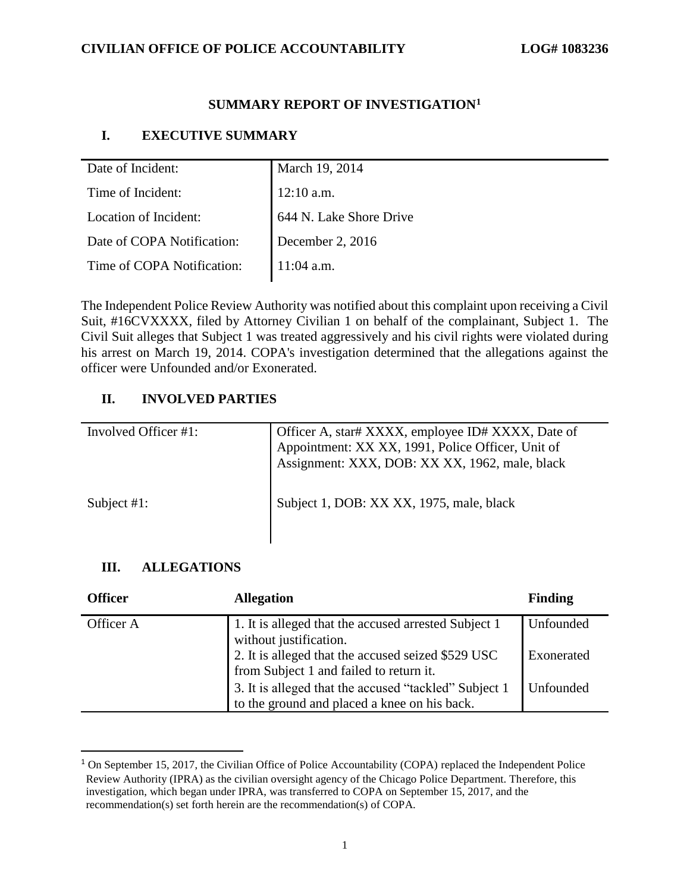### **CIVILIAN OFFICE OF POLICE ACCOUNTABILITY LOG# 1083236**

# **SUMMARY REPORT OF INVESTIGATION<sup>1</sup>**

# **I. EXECUTIVE SUMMARY**

| Date of Incident:          | March 19, 2014          |
|----------------------------|-------------------------|
| Time of Incident:          | $12:10$ a.m.            |
| Location of Incident:      | 644 N. Lake Shore Drive |
| Date of COPA Notification: | December 2, $2016$      |
| Time of COPA Notification: | $11:04$ a.m.            |

The Independent Police Review Authority was notified about this complaint upon receiving a Civil Suit, #16CVXXXX, filed by Attorney Civilian 1 on behalf of the complainant, Subject 1. The Civil Suit alleges that Subject 1 was treated aggressively and his civil rights were violated during his arrest on March 19, 2014. COPA's investigation determined that the allegations against the officer were Unfounded and/or Exonerated.

# **II. INVOLVED PARTIES**

| Involved Officer #1: | Officer A, star# XXXX, employee ID# XXXX, Date of<br>Appointment: XX XX, 1991, Police Officer, Unit of<br>Assignment: XXX, DOB: XX XX, 1962, male, black |
|----------------------|----------------------------------------------------------------------------------------------------------------------------------------------------------|
| Subject $#1$ :       | Subject 1, DOB: XX XX, 1975, male, black                                                                                                                 |

### **III. ALLEGATIONS**

| <b>Officer</b> | <b>Allegation</b>                                                                                     | <b>Finding</b> |
|----------------|-------------------------------------------------------------------------------------------------------|----------------|
| Officer A      | 1. It is alleged that the accused arrested Subject 1<br>without justification.                        | Unfounded      |
|                | 2. It is alleged that the accused seized \$529 USC<br>from Subject 1 and failed to return it.         | Exonerated     |
|                | 3. It is alleged that the accused "tackled" Subject 1<br>to the ground and placed a knee on his back. | Unfounded      |

<sup>&</sup>lt;sup>1</sup> On September 15, 2017, the Civilian Office of Police Accountability (COPA) replaced the Independent Police Review Authority (IPRA) as the civilian oversight agency of the Chicago Police Department. Therefore, this investigation, which began under IPRA, was transferred to COPA on September 15, 2017, and the recommendation(s) set forth herein are the recommendation(s) of COPA.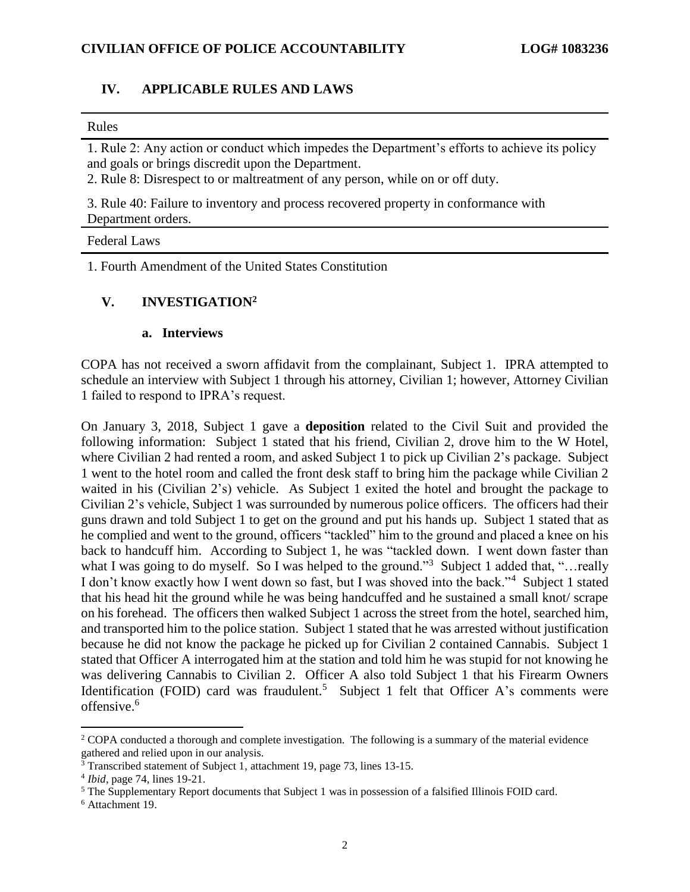#### **IV. APPLICABLE RULES AND LAWS**

#### Rules

1. Rule 2: Any action or conduct which impedes the Department's efforts to achieve its policy and goals or brings discredit upon the Department.

2. Rule 8: Disrespect to or maltreatment of any person, while on or off duty.

3. Rule 40: Failure to inventory and process recovered property in conformance with Department orders.

#### Federal Laws

1. Fourth Amendment of the United States Constitution

### **V. INVESTIGATION<sup>2</sup>**

#### **a. Interviews**

COPA has not received a sworn affidavit from the complainant, Subject 1. IPRA attempted to schedule an interview with Subject 1 through his attorney, Civilian 1; however, Attorney Civilian 1 failed to respond to IPRA's request.

On January 3, 2018, Subject 1 gave a **deposition** related to the Civil Suit and provided the following information: Subject 1 stated that his friend, Civilian 2, drove him to the W Hotel, where Civilian 2 had rented a room, and asked Subject 1 to pick up Civilian 2's package. Subject 1 went to the hotel room and called the front desk staff to bring him the package while Civilian 2 waited in his (Civilian 2's) vehicle. As Subject 1 exited the hotel and brought the package to Civilian 2's vehicle, Subject 1 was surrounded by numerous police officers. The officers had their guns drawn and told Subject 1 to get on the ground and put his hands up. Subject 1 stated that as he complied and went to the ground, officers "tackled" him to the ground and placed a knee on his back to handcuff him. According to Subject 1, he was "tackled down. I went down faster than what I was going to do myself. So I was helped to the ground."<sup>3</sup> Subject 1 added that, "...really I don't know exactly how I went down so fast, but I was shoved into the back."<sup>4</sup> Subject 1 stated that his head hit the ground while he was being handcuffed and he sustained a small knot/ scrape on his forehead. The officers then walked Subject 1 across the street from the hotel, searched him, and transported him to the police station. Subject 1 stated that he was arrested without justification because he did not know the package he picked up for Civilian 2 contained Cannabis. Subject 1 stated that Officer A interrogated him at the station and told him he was stupid for not knowing he was delivering Cannabis to Civilian 2. Officer A also told Subject 1 that his Firearm Owners Identification (FOID) card was fraudulent.<sup>5</sup> Subject 1 felt that Officer A's comments were offensive.<sup>6</sup>

<sup>&</sup>lt;sup>2</sup> COPA conducted a thorough and complete investigation. The following is a summary of the material evidence gathered and relied upon in our analysis.

 $\frac{3}{3}$  Transcribed statement of Subject 1, attachment 19, page 73, lines 13-15.

<sup>4</sup> *Ibid*, page 74, lines 19-21.

<sup>&</sup>lt;sup>5</sup> The Supplementary Report documents that Subject 1 was in possession of a falsified Illinois FOID card.

<sup>6</sup> Attachment 19.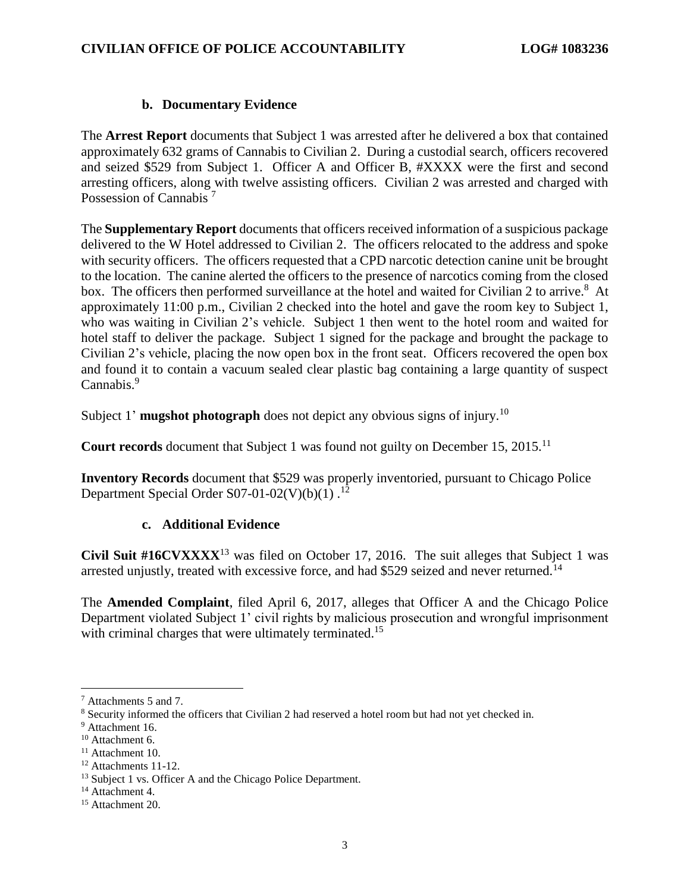# **b. Documentary Evidence**

The **Arrest Report** documents that Subject 1 was arrested after he delivered a box that contained approximately 632 grams of Cannabis to Civilian 2. During a custodial search, officers recovered and seized \$529 from Subject 1. Officer A and Officer B, #XXXX were the first and second arresting officers, along with twelve assisting officers. Civilian 2 was arrested and charged with Possession of Cannabis<sup>7</sup>

The **Supplementary Report** documents that officers received information of a suspicious package delivered to the W Hotel addressed to Civilian 2. The officers relocated to the address and spoke with security officers. The officers requested that a CPD narcotic detection canine unit be brought to the location. The canine alerted the officers to the presence of narcotics coming from the closed box. The officers then performed surveillance at the hotel and waited for Civilian 2 to arrive.<sup>8</sup> At approximately 11:00 p.m., Civilian 2 checked into the hotel and gave the room key to Subject 1, who was waiting in Civilian 2's vehicle. Subject 1 then went to the hotel room and waited for hotel staff to deliver the package. Subject 1 signed for the package and brought the package to Civilian 2's vehicle, placing the now open box in the front seat. Officers recovered the open box and found it to contain a vacuum sealed clear plastic bag containing a large quantity of suspect Cannabis.<sup>9</sup>

Subject 1' **mugshot photograph** does not depict any obvious signs of injury.<sup>10</sup>

**Court records** document that Subject 1 was found not guilty on December 15, 2015.<sup>11</sup>

**Inventory Records** document that \$529 was properly inventoried, pursuant to Chicago Police Department Special Order S07-01-02(V)(b)(1)  $^{12}$ 

### **c. Additional Evidence**

**Civil Suit #16CVXXXX**<sup>13</sup> was filed on October 17, 2016. The suit alleges that Subject 1 was arrested unjustly, treated with excessive force, and had \$529 seized and never returned.<sup>14</sup>

The **Amended Complaint**, filed April 6, 2017, alleges that Officer A and the Chicago Police Department violated Subject 1' civil rights by malicious prosecution and wrongful imprisonment with criminal charges that were ultimately terminated.<sup>15</sup>

<sup>7</sup> Attachments 5 and 7.

<sup>8</sup> Security informed the officers that Civilian 2 had reserved a hotel room but had not yet checked in.

<sup>&</sup>lt;sup>9</sup> Attachment 16.

<sup>&</sup>lt;sup>10</sup> Attachment 6.

<sup>&</sup>lt;sup>11</sup> Attachment 10.

<sup>&</sup>lt;sup>12</sup> Attachments 11-12.

<sup>&</sup>lt;sup>13</sup> Subject 1 vs. Officer A and the Chicago Police Department.

<sup>&</sup>lt;sup>14</sup> Attachment 4.

<sup>&</sup>lt;sup>15</sup> Attachment 20.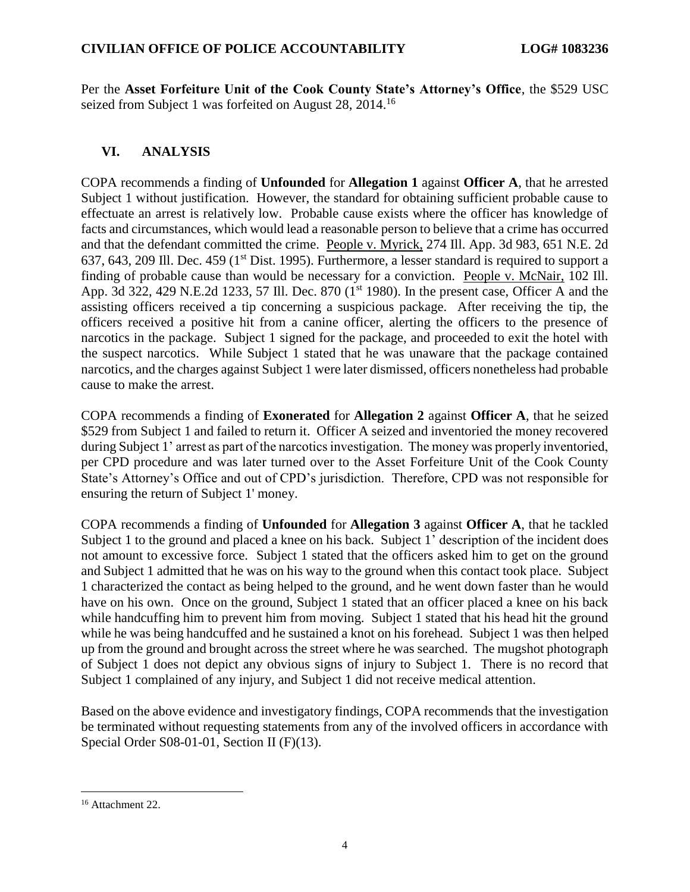Per the **Asset Forfeiture Unit of the Cook County State's Attorney's Office**, the \$529 USC seized from Subject 1 was forfeited on August 28, 2014.<sup>16</sup>

# **VI. ANALYSIS**

COPA recommends a finding of **Unfounded** for **Allegation 1** against **Officer A**, that he arrested Subject 1 without justification. However, the standard for obtaining sufficient probable cause to effectuate an arrest is relatively low. Probable cause exists where the officer has knowledge of facts and circumstances, which would lead a reasonable person to believe that a crime has occurred and that the defendant committed the crime. People v. Myrick, 274 Ill. App. 3d 983, 651 N.E. 2d 637, 643, 209 Ill. Dec. 459 (1<sup>st</sup> Dist. 1995). Furthermore, a lesser standard is required to support a finding of probable cause than would be necessary for a conviction. People v. McNair, 102 Ill. App. 3d 322, 429 N.E.2d 1233, 57 Ill. Dec. 870 (1<sup>st</sup> 1980). In the present case, Officer A and the assisting officers received a tip concerning a suspicious package. After receiving the tip, the officers received a positive hit from a canine officer, alerting the officers to the presence of narcotics in the package. Subject 1 signed for the package, and proceeded to exit the hotel with the suspect narcotics. While Subject 1 stated that he was unaware that the package contained narcotics, and the charges against Subject 1 were later dismissed, officers nonetheless had probable cause to make the arrest.

COPA recommends a finding of **Exonerated** for **Allegation 2** against **Officer A**, that he seized \$529 from Subject 1 and failed to return it. Officer A seized and inventoried the money recovered during Subject 1' arrest as part of the narcotics investigation. The money was properly inventoried, per CPD procedure and was later turned over to the Asset Forfeiture Unit of the Cook County State's Attorney's Office and out of CPD's jurisdiction. Therefore, CPD was not responsible for ensuring the return of Subject 1' money.

COPA recommends a finding of **Unfounded** for **Allegation 3** against **Officer A**, that he tackled Subject 1 to the ground and placed a knee on his back. Subject 1' description of the incident does not amount to excessive force. Subject 1 stated that the officers asked him to get on the ground and Subject 1 admitted that he was on his way to the ground when this contact took place. Subject 1 characterized the contact as being helped to the ground, and he went down faster than he would have on his own. Once on the ground, Subject 1 stated that an officer placed a knee on his back while handcuffing him to prevent him from moving. Subject 1 stated that his head hit the ground while he was being handcuffed and he sustained a knot on his forehead. Subject 1 was then helped up from the ground and brought across the street where he was searched. The mugshot photograph of Subject 1 does not depict any obvious signs of injury to Subject 1. There is no record that Subject 1 complained of any injury, and Subject 1 did not receive medical attention.

Based on the above evidence and investigatory findings, COPA recommends that the investigation be terminated without requesting statements from any of the involved officers in accordance with Special Order S08-01-01, Section II (F)(13).

<sup>&</sup>lt;sup>16</sup> Attachment 22.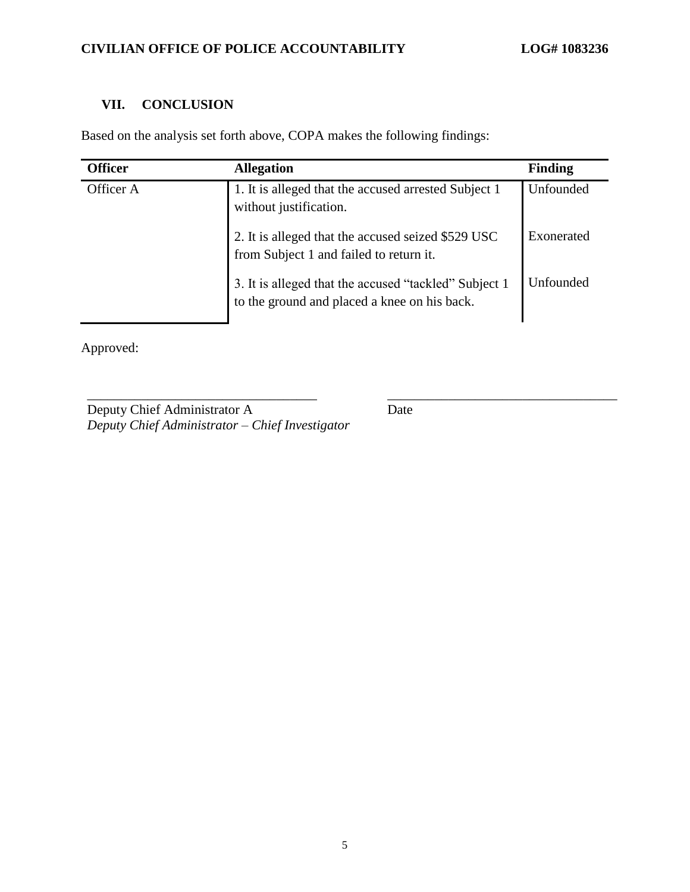# **VII. CONCLUSION**

Based on the analysis set forth above, COPA makes the following findings:

| <b>Officer</b> | <b>Allegation</b>                                                                                     | <b>Finding</b> |
|----------------|-------------------------------------------------------------------------------------------------------|----------------|
| Officer A      | 1. It is alleged that the accused arrested Subject 1<br>without justification.                        | Unfounded      |
|                | 2. It is alleged that the accused seized \$529 USC<br>from Subject 1 and failed to return it.         | Exonerated     |
|                | 3. It is alleged that the accused "tackled" Subject 1<br>to the ground and placed a knee on his back. | Unfounded      |

\_\_\_\_\_\_\_\_\_\_\_\_\_\_\_\_\_\_\_\_\_\_\_\_\_\_\_\_\_\_\_\_\_\_ \_\_\_\_\_\_\_\_\_\_\_\_\_\_\_\_\_\_\_\_\_\_\_\_\_\_\_\_\_\_\_\_\_\_

Approved:

Deputy Chief Administrator A *Deputy Chief Administrator – Chief Investigator* Date